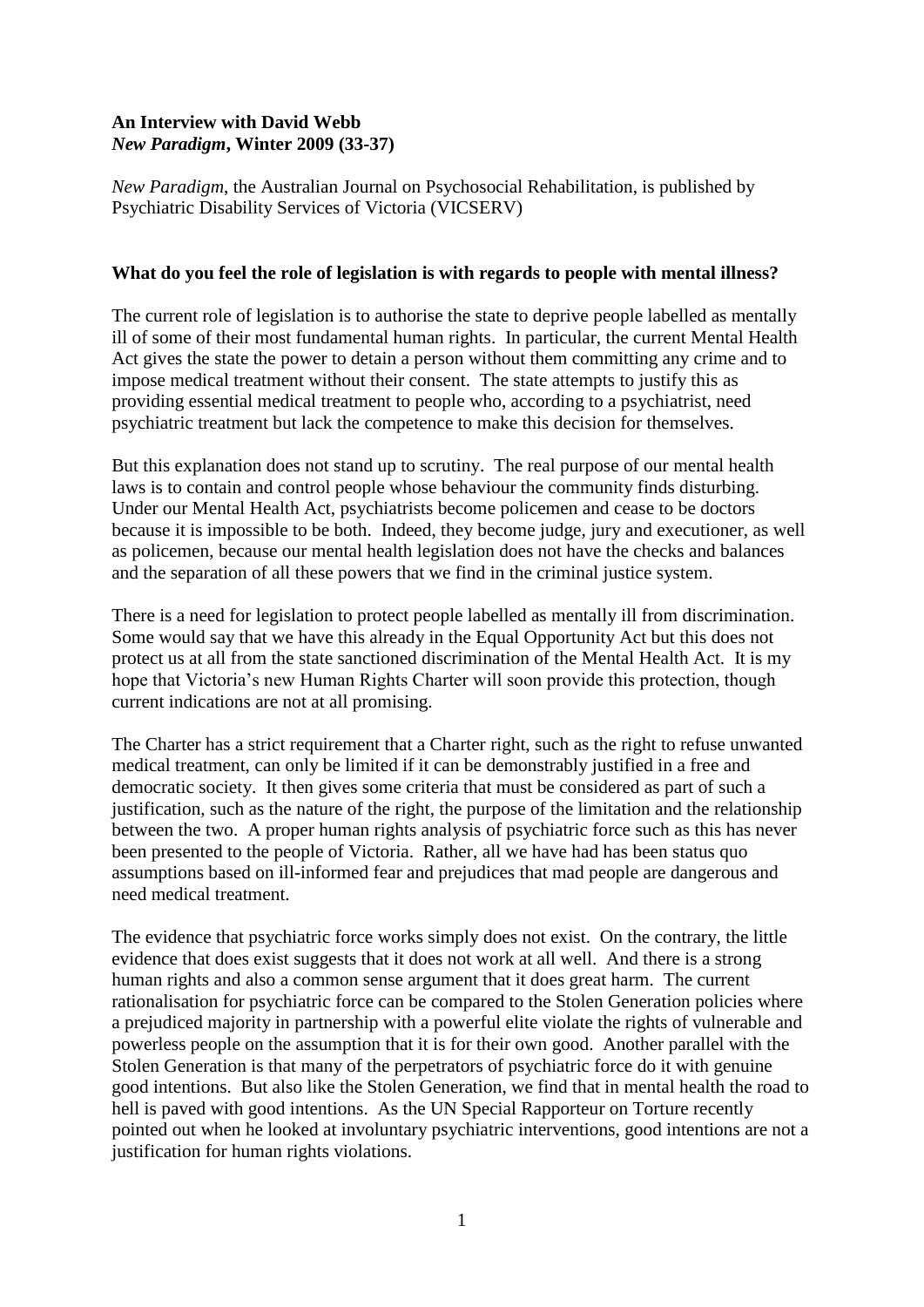# **An Interview with David Webb** *New Paradigm***, Winter 2009 (33-37)**

*New Paradigm*, the Australian Journal on Psychosocial Rehabilitation, is published by Psychiatric Disability Services of Victoria (VICSERV)

### **What do you feel the role of legislation is with regards to people with mental illness?**

The current role of legislation is to authorise the state to deprive people labelled as mentally ill of some of their most fundamental human rights. In particular, the current Mental Health Act gives the state the power to detain a person without them committing any crime and to impose medical treatment without their consent. The state attempts to justify this as providing essential medical treatment to people who, according to a psychiatrist, need psychiatric treatment but lack the competence to make this decision for themselves.

But this explanation does not stand up to scrutiny. The real purpose of our mental health laws is to contain and control people whose behaviour the community finds disturbing. Under our Mental Health Act, psychiatrists become policemen and cease to be doctors because it is impossible to be both. Indeed, they become judge, jury and executioner, as well as policemen, because our mental health legislation does not have the checks and balances and the separation of all these powers that we find in the criminal justice system.

There is a need for legislation to protect people labelled as mentally ill from discrimination. Some would say that we have this already in the Equal Opportunity Act but this does not protect us at all from the state sanctioned discrimination of the Mental Health Act. It is my hope that Victoria's new Human Rights Charter will soon provide this protection, though current indications are not at all promising.

The Charter has a strict requirement that a Charter right, such as the right to refuse unwanted medical treatment, can only be limited if it can be demonstrably justified in a free and democratic society. It then gives some criteria that must be considered as part of such a justification, such as the nature of the right, the purpose of the limitation and the relationship between the two. A proper human rights analysis of psychiatric force such as this has never been presented to the people of Victoria. Rather, all we have had has been status quo assumptions based on ill-informed fear and prejudices that mad people are dangerous and need medical treatment.

The evidence that psychiatric force works simply does not exist. On the contrary, the little evidence that does exist suggests that it does not work at all well. And there is a strong human rights and also a common sense argument that it does great harm. The current rationalisation for psychiatric force can be compared to the Stolen Generation policies where a prejudiced majority in partnership with a powerful elite violate the rights of vulnerable and powerless people on the assumption that it is for their own good. Another parallel with the Stolen Generation is that many of the perpetrators of psychiatric force do it with genuine good intentions. But also like the Stolen Generation, we find that in mental health the road to hell is paved with good intentions. As the UN Special Rapporteur on Torture recently pointed out when he looked at involuntary psychiatric interventions, good intentions are not a justification for human rights violations.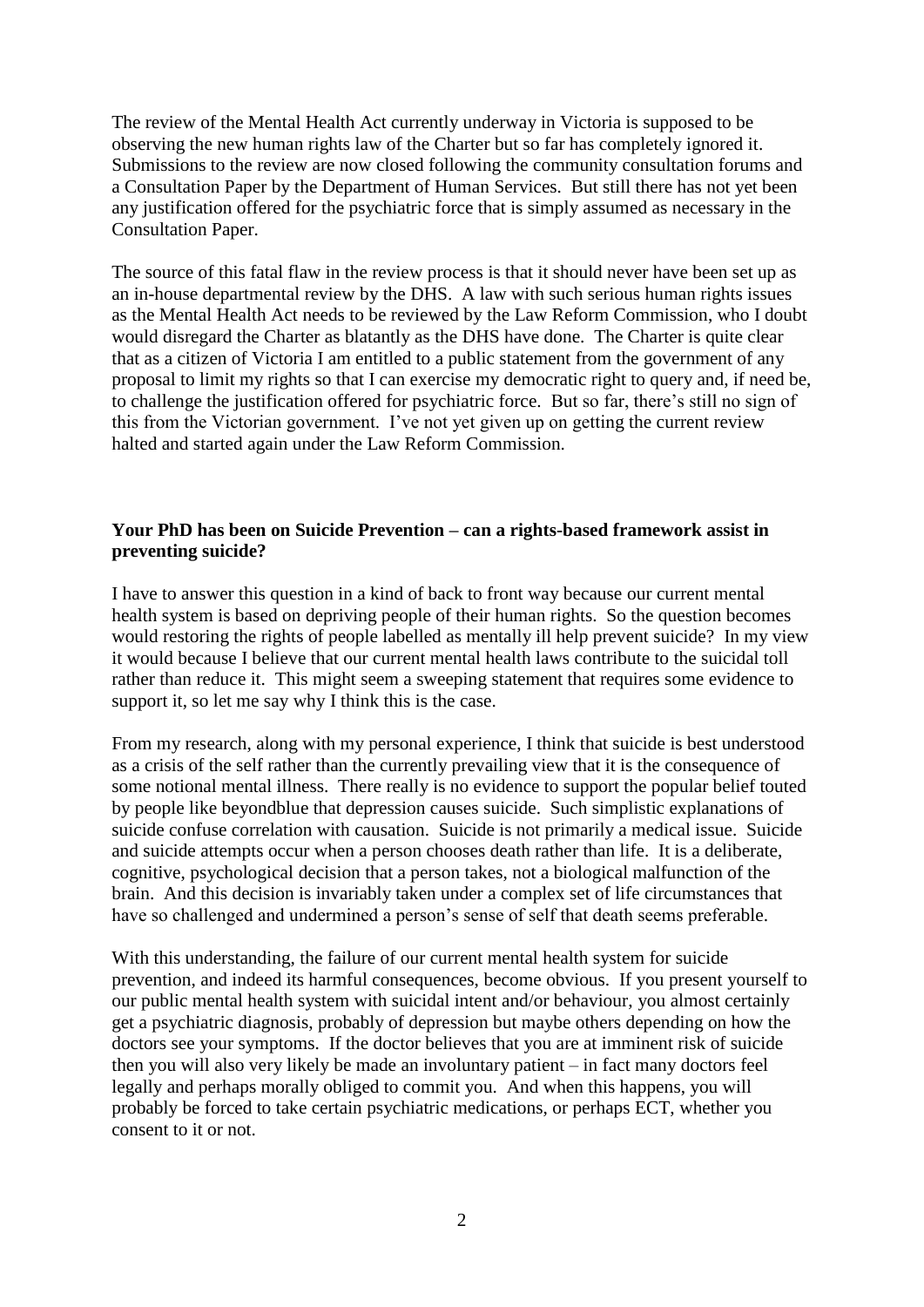The review of the Mental Health Act currently underway in Victoria is supposed to be observing the new human rights law of the Charter but so far has completely ignored it. Submissions to the review are now closed following the community consultation forums and a Consultation Paper by the Department of Human Services. But still there has not yet been any justification offered for the psychiatric force that is simply assumed as necessary in the Consultation Paper.

The source of this fatal flaw in the review process is that it should never have been set up as an in-house departmental review by the DHS. A law with such serious human rights issues as the Mental Health Act needs to be reviewed by the Law Reform Commission, who I doubt would disregard the Charter as blatantly as the DHS have done. The Charter is quite clear that as a citizen of Victoria I am entitled to a public statement from the government of any proposal to limit my rights so that I can exercise my democratic right to query and, if need be, to challenge the justification offered for psychiatric force. But so far, there"s still no sign of this from the Victorian government. I've not yet given up on getting the current review halted and started again under the Law Reform Commission.

# **Your PhD has been on Suicide Prevention – can a rights-based framework assist in preventing suicide?**

I have to answer this question in a kind of back to front way because our current mental health system is based on depriving people of their human rights. So the question becomes would restoring the rights of people labelled as mentally ill help prevent suicide? In my view it would because I believe that our current mental health laws contribute to the suicidal toll rather than reduce it. This might seem a sweeping statement that requires some evidence to support it, so let me say why I think this is the case.

From my research, along with my personal experience, I think that suicide is best understood as a crisis of the self rather than the currently prevailing view that it is the consequence of some notional mental illness. There really is no evidence to support the popular belief touted by people like beyondblue that depression causes suicide. Such simplistic explanations of suicide confuse correlation with causation. Suicide is not primarily a medical issue. Suicide and suicide attempts occur when a person chooses death rather than life. It is a deliberate, cognitive, psychological decision that a person takes, not a biological malfunction of the brain. And this decision is invariably taken under a complex set of life circumstances that have so challenged and undermined a person's sense of self that death seems preferable.

With this understanding, the failure of our current mental health system for suicide prevention, and indeed its harmful consequences, become obvious. If you present yourself to our public mental health system with suicidal intent and/or behaviour, you almost certainly get a psychiatric diagnosis, probably of depression but maybe others depending on how the doctors see your symptoms. If the doctor believes that you are at imminent risk of suicide then you will also very likely be made an involuntary patient – in fact many doctors feel legally and perhaps morally obliged to commit you. And when this happens, you will probably be forced to take certain psychiatric medications, or perhaps ECT, whether you consent to it or not.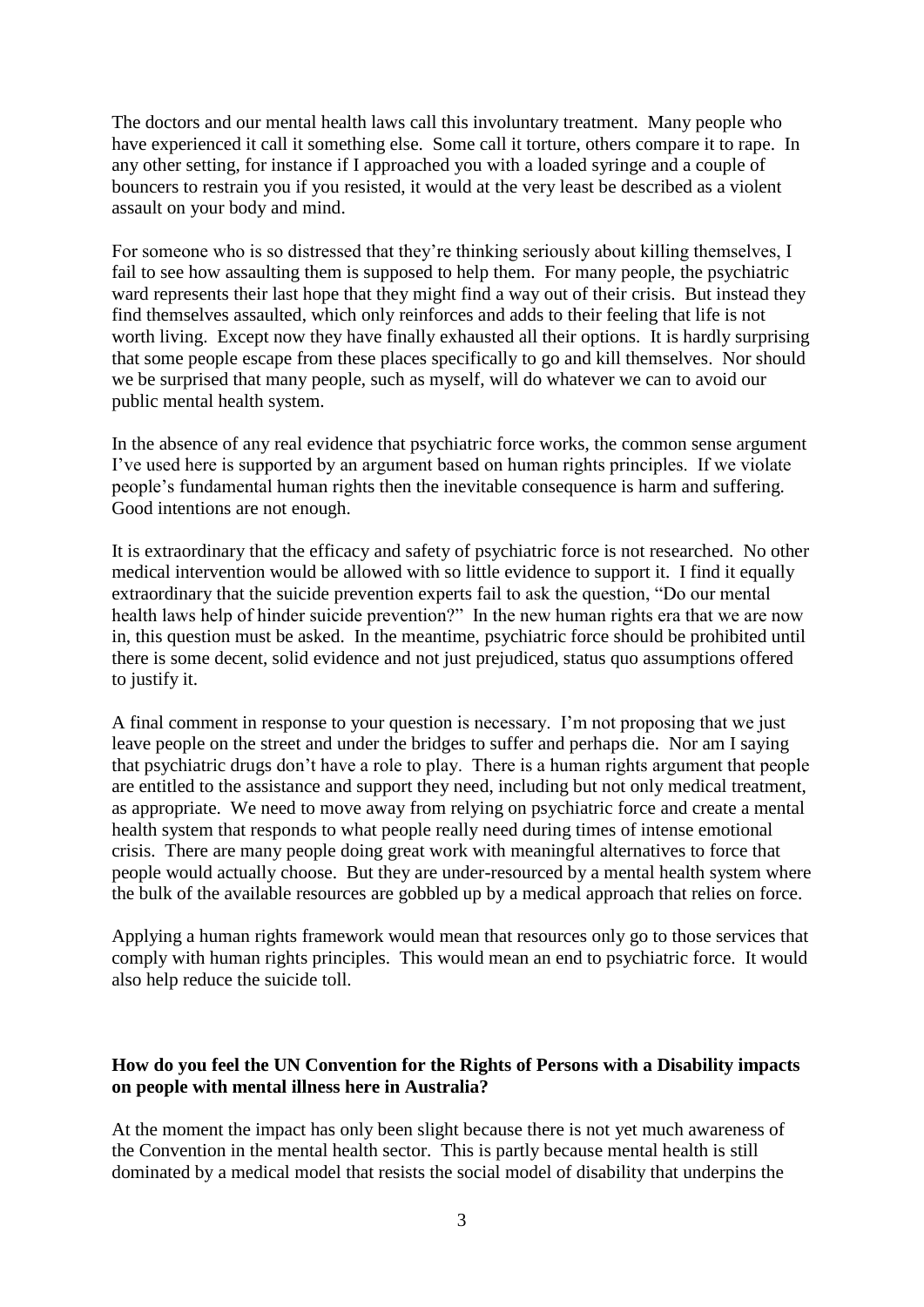The doctors and our mental health laws call this involuntary treatment. Many people who have experienced it call it something else. Some call it torture, others compare it to rape. In any other setting, for instance if I approached you with a loaded syringe and a couple of bouncers to restrain you if you resisted, it would at the very least be described as a violent assault on your body and mind.

For someone who is so distressed that they"re thinking seriously about killing themselves, I fail to see how assaulting them is supposed to help them. For many people, the psychiatric ward represents their last hope that they might find a way out of their crisis. But instead they find themselves assaulted, which only reinforces and adds to their feeling that life is not worth living. Except now they have finally exhausted all their options. It is hardly surprising that some people escape from these places specifically to go and kill themselves. Nor should we be surprised that many people, such as myself, will do whatever we can to avoid our public mental health system.

In the absence of any real evidence that psychiatric force works, the common sense argument I"ve used here is supported by an argument based on human rights principles. If we violate people"s fundamental human rights then the inevitable consequence is harm and suffering. Good intentions are not enough.

It is extraordinary that the efficacy and safety of psychiatric force is not researched. No other medical intervention would be allowed with so little evidence to support it. I find it equally extraordinary that the suicide prevention experts fail to ask the question, "Do our mental health laws help of hinder suicide prevention?" In the new human rights era that we are now in, this question must be asked. In the meantime, psychiatric force should be prohibited until there is some decent, solid evidence and not just prejudiced, status quo assumptions offered to justify it.

A final comment in response to your question is necessary. I"m not proposing that we just leave people on the street and under the bridges to suffer and perhaps die. Nor am I saying that psychiatric drugs don"t have a role to play. There is a human rights argument that people are entitled to the assistance and support they need, including but not only medical treatment, as appropriate. We need to move away from relying on psychiatric force and create a mental health system that responds to what people really need during times of intense emotional crisis. There are many people doing great work with meaningful alternatives to force that people would actually choose. But they are under-resourced by a mental health system where the bulk of the available resources are gobbled up by a medical approach that relies on force.

Applying a human rights framework would mean that resources only go to those services that comply with human rights principles. This would mean an end to psychiatric force. It would also help reduce the suicide toll.

# **How do you feel the UN Convention for the Rights of Persons with a Disability impacts on people with mental illness here in Australia?**

At the moment the impact has only been slight because there is not yet much awareness of the Convention in the mental health sector. This is partly because mental health is still dominated by a medical model that resists the social model of disability that underpins the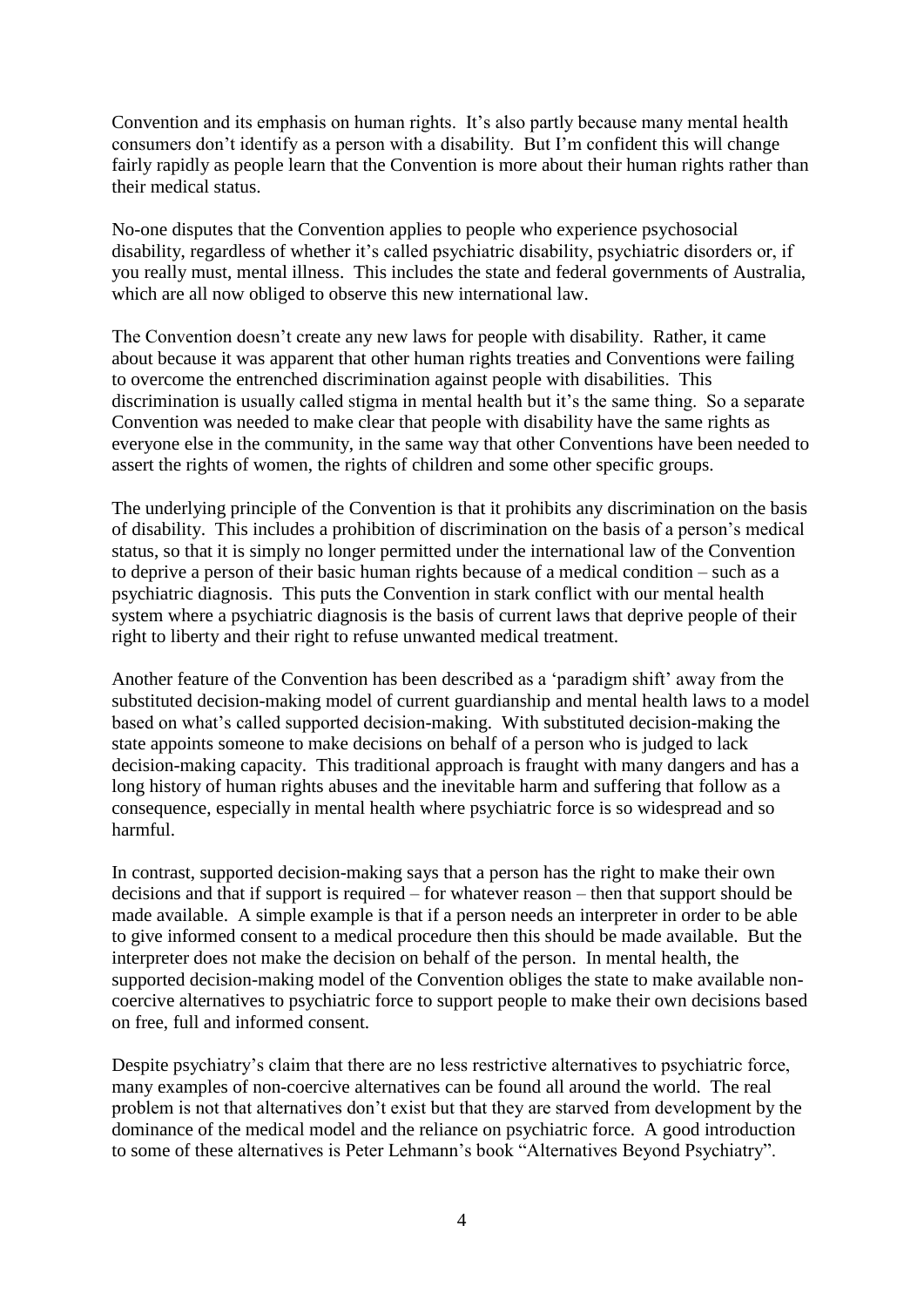Convention and its emphasis on human rights. It's also partly because many mental health consumers don"t identify as a person with a disability. But I"m confident this will change fairly rapidly as people learn that the Convention is more about their human rights rather than their medical status.

No-one disputes that the Convention applies to people who experience psychosocial disability, regardless of whether it's called psychiatric disability, psychiatric disorders or, if you really must, mental illness. This includes the state and federal governments of Australia, which are all now obliged to observe this new international law.

The Convention doesn"t create any new laws for people with disability. Rather, it came about because it was apparent that other human rights treaties and Conventions were failing to overcome the entrenched discrimination against people with disabilities. This discrimination is usually called stigma in mental health but it's the same thing. So a separate Convention was needed to make clear that people with disability have the same rights as everyone else in the community, in the same way that other Conventions have been needed to assert the rights of women, the rights of children and some other specific groups.

The underlying principle of the Convention is that it prohibits any discrimination on the basis of disability. This includes a prohibition of discrimination on the basis of a person"s medical status, so that it is simply no longer permitted under the international law of the Convention to deprive a person of their basic human rights because of a medical condition – such as a psychiatric diagnosis. This puts the Convention in stark conflict with our mental health system where a psychiatric diagnosis is the basis of current laws that deprive people of their right to liberty and their right to refuse unwanted medical treatment.

Another feature of the Convention has been described as a 'paradigm shift' away from the substituted decision-making model of current guardianship and mental health laws to a model based on what"s called supported decision-making. With substituted decision-making the state appoints someone to make decisions on behalf of a person who is judged to lack decision-making capacity. This traditional approach is fraught with many dangers and has a long history of human rights abuses and the inevitable harm and suffering that follow as a consequence, especially in mental health where psychiatric force is so widespread and so harmful.

In contrast, supported decision-making says that a person has the right to make their own decisions and that if support is required – for whatever reason – then that support should be made available. A simple example is that if a person needs an interpreter in order to be able to give informed consent to a medical procedure then this should be made available. But the interpreter does not make the decision on behalf of the person. In mental health, the supported decision-making model of the Convention obliges the state to make available noncoercive alternatives to psychiatric force to support people to make their own decisions based on free, full and informed consent.

Despite psychiatry"s claim that there are no less restrictive alternatives to psychiatric force, many examples of non-coercive alternatives can be found all around the world. The real problem is not that alternatives don"t exist but that they are starved from development by the dominance of the medical model and the reliance on psychiatric force. A good introduction to some of these alternatives is Peter Lehmann"s book "Alternatives Beyond Psychiatry".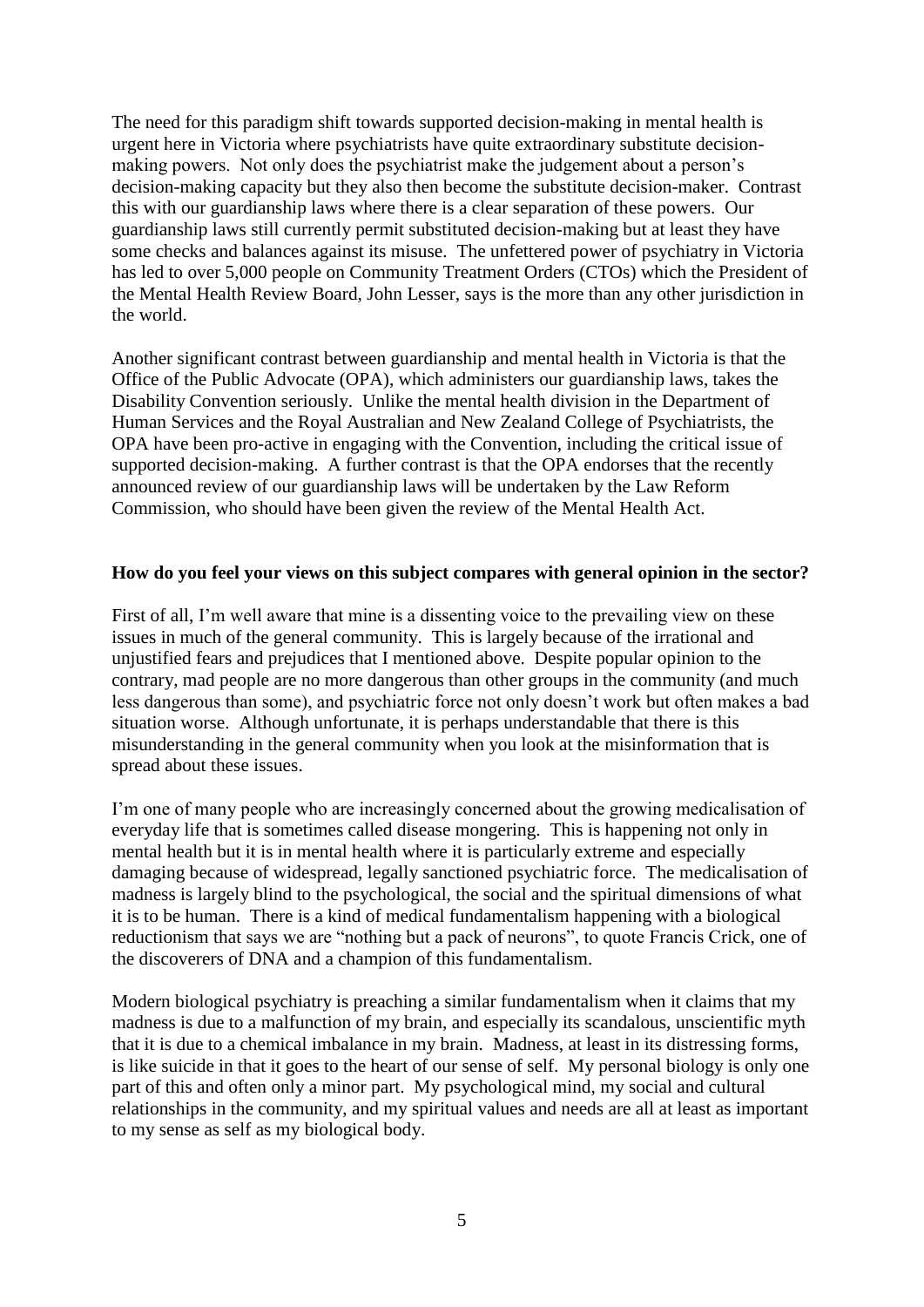The need for this paradigm shift towards supported decision-making in mental health is urgent here in Victoria where psychiatrists have quite extraordinary substitute decisionmaking powers. Not only does the psychiatrist make the judgement about a person's decision-making capacity but they also then become the substitute decision-maker. Contrast this with our guardianship laws where there is a clear separation of these powers. Our guardianship laws still currently permit substituted decision-making but at least they have some checks and balances against its misuse. The unfettered power of psychiatry in Victoria has led to over 5,000 people on Community Treatment Orders (CTOs) which the President of the Mental Health Review Board, John Lesser, says is the more than any other jurisdiction in the world.

Another significant contrast between guardianship and mental health in Victoria is that the Office of the Public Advocate (OPA), which administers our guardianship laws, takes the Disability Convention seriously. Unlike the mental health division in the Department of Human Services and the Royal Australian and New Zealand College of Psychiatrists, the OPA have been pro-active in engaging with the Convention, including the critical issue of supported decision-making. A further contrast is that the OPA endorses that the recently announced review of our guardianship laws will be undertaken by the Law Reform Commission, who should have been given the review of the Mental Health Act.

# **How do you feel your views on this subject compares with general opinion in the sector?**

First of all, I'm well aware that mine is a dissenting voice to the prevailing view on these issues in much of the general community. This is largely because of the irrational and unjustified fears and prejudices that I mentioned above. Despite popular opinion to the contrary, mad people are no more dangerous than other groups in the community (and much less dangerous than some), and psychiatric force not only doesn"t work but often makes a bad situation worse. Although unfortunate, it is perhaps understandable that there is this misunderstanding in the general community when you look at the misinformation that is spread about these issues.

I'm one of many people who are increasingly concerned about the growing medicalisation of everyday life that is sometimes called disease mongering. This is happening not only in mental health but it is in mental health where it is particularly extreme and especially damaging because of widespread, legally sanctioned psychiatric force. The medicalisation of madness is largely blind to the psychological, the social and the spiritual dimensions of what it is to be human. There is a kind of medical fundamentalism happening with a biological reductionism that says we are "nothing but a pack of neurons", to quote Francis Crick, one of the discoverers of DNA and a champion of this fundamentalism.

Modern biological psychiatry is preaching a similar fundamentalism when it claims that my madness is due to a malfunction of my brain, and especially its scandalous, unscientific myth that it is due to a chemical imbalance in my brain. Madness, at least in its distressing forms, is like suicide in that it goes to the heart of our sense of self. My personal biology is only one part of this and often only a minor part. My psychological mind, my social and cultural relationships in the community, and my spiritual values and needs are all at least as important to my sense as self as my biological body.